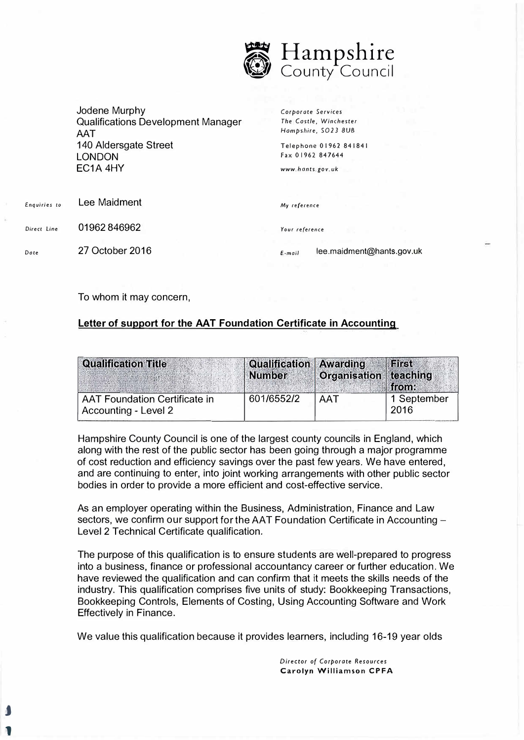

Jodene Murphy Qualifications Development Manager **AAT** 140 Aldersgate Street LONDON EC1A 4HY

*Corporate* Services The *Castle, Winchester*  Hampshire, 5023 *BUB* 

Telephone O 1962 841841 Fax O 1962 84 7644

*www.hants.gov.uk* 

| Enquiries to | Lee Maidment    | My reference   |                           |
|--------------|-----------------|----------------|---------------------------|
| Direct Line  | 01962846962     | Your reference |                           |
| Dote         | 27 October 2016 | $E$ -mail      | lee.maidment@hants.gov.uk |

To whom it may concern,

J

1

## **Letter of support for the AAT Foundation Certificate in Accounting**

| <b>Qualification Title</b>                                   | Qualification Awarding<br>Number | Organisation teaching | First<br>from       |
|--------------------------------------------------------------|----------------------------------|-----------------------|---------------------|
| <b>AAT Foundation Certificate in</b><br>Accounting - Level 2 | 601/6552/2                       | AAT                   | 1 September<br>2016 |

Hampshire County Council is one of the largest county councils in England, which along with the rest of the public sector has been going through a major programme of cost reduction and efficiency savings over the past few years. We have entered, and are continuing to enter, into joint working arrangements with other public sector bodies in order to provide a more efficient and cost-effective service.

As an employer operating within the Business, Administration, Finance and Law sectors, we confirm our support for the AAT Foundation Certificate in Accounting -Level 2 Technical Certificate qualification.

The purpose of this qualification is to ensure students are well-prepared to progress into a business, finance or professional accountancy career or further education. We have reviewed the qualification and can confirm that it meets the skills needs of the industry. This qualification comprises five units of study: Bookkeeping Transactions, Bookkeeping Controls, Elements of Costing, Using Accounting Software and Work Effectively in Finance.

We value this qualification because it provides learners, including 16-19 year olds

*Director of Corporate Resources*  **Carolyn Williamson CPFA**